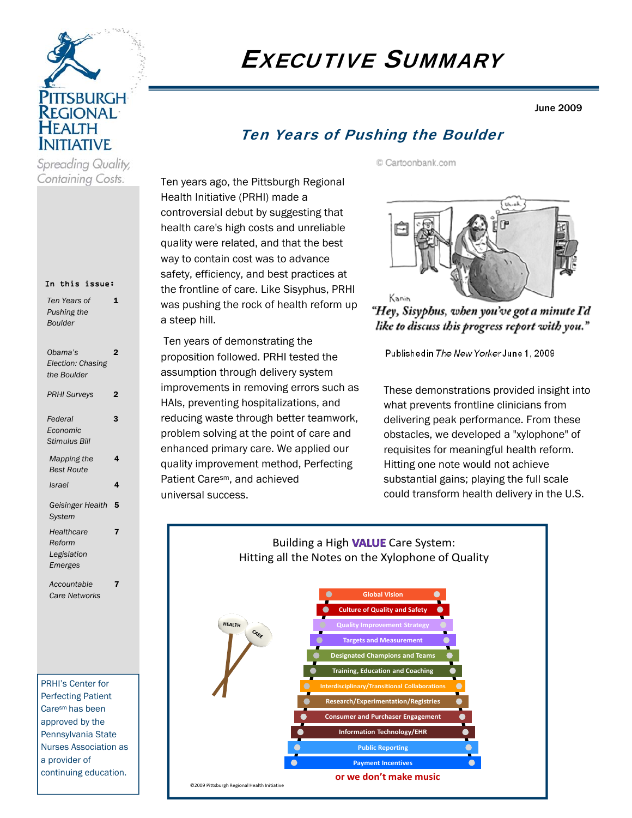

# EXECUTIVE SUMMARY

June 2009

# Ten Years of Pushing the Boulder

© Cartoonbank.com

Ten years ago, the Pittsburgh Regional Health Initiative (PRHI) made a controversial debut by suggesting that health care's high costs and unreliable quality were related, and that the best way to contain cost was to advance safety, efficiency, and best practices at the frontline of care. Like Sisyphus, PRHI was pushing the rock of health reform up a steep hill.

 Ten years of demonstrating the proposition followed. PRHI tested the assumption through delivery system improvements in removing errors such as HAIs, preventing hospitalizations, and reducing waste through better teamwork, problem solving at the point of care and enhanced primary care. We applied our quality improvement method, Perfecting Patient Caresm, and achieved universal success.



"Hey, Sisyphus, when you've got a minute I'd like to discuss this progress report with you."

Publishedin The New Yorker June 1, 2009

These demonstrations provided insight into what prevents frontline clinicians from delivering peak performance. From these obstacles, we developed a "xylophone" of requisites for meaningful health reform. Hitting one note would not achieve substantial gains; playing the full scale could transform health delivery in the U.S.



#### In this issue:

Containing Costs.

| Ten Years of<br>Pushing the<br><b>Boulder</b>  | 1              |
|------------------------------------------------|----------------|
| Obama's<br>Election: Chasing<br>the Boulder    | $\overline{2}$ |
| <b>PRHI Surveys</b>                            | 2              |
| Federal<br>Economic<br><b>Stimulus Bill</b>    | 3              |
| Mapping the<br><b>Best Route</b>               | 4              |
| <b>Israel</b>                                  | 4              |
| Geisinger Health<br><b>System</b>              | 5              |
| Healthcare<br>Reform<br>Legislation<br>Emerges | 7              |
| Accountable<br><b>Care Networks</b>            | 7              |

PRHI's Center for Perfecting Patient Caresm has been approved by the Pennsylvania State Nurses Association as a provider of continuing education.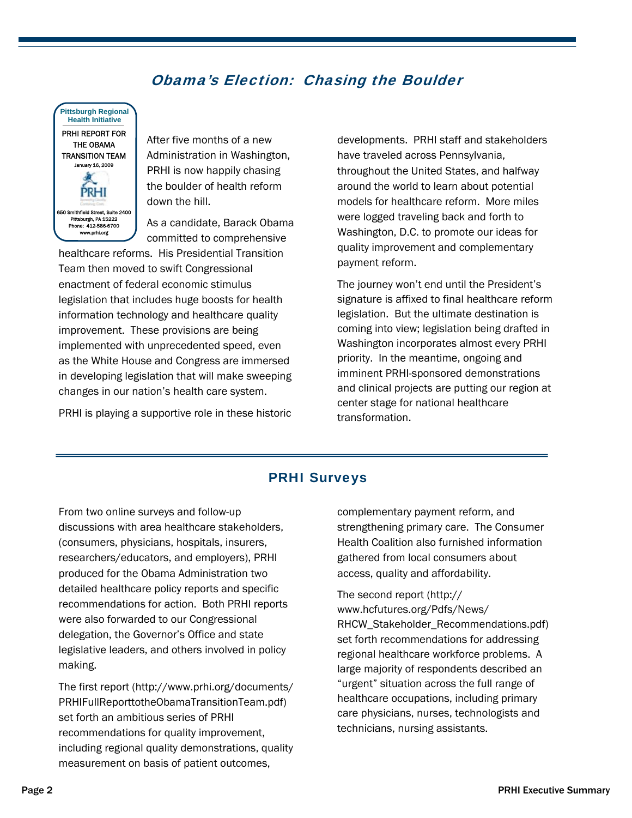# Obama's Election: Chasing the Boulder



After five months of a new Administration in Washington, PRHI is now happily chasing the boulder of health reform down the hill.

As a candidate, Barack Obama committed to comprehensive

healthcare reforms. His Presidential Transition Team then moved to swift Congressional enactment of federal economic stimulus legislation that includes huge boosts for health information technology and healthcare quality improvement. These provisions are being implemented with unprecedented speed, even as the White House and Congress are immersed in developing legislation that will make sweeping changes in our nation's health care system.

PRHI is playing a supportive role in these historic

developments. PRHI staff and stakeholders have traveled across Pennsylvania, throughout the United States, and halfway around the world to learn about potential models for healthcare reform. More miles were logged traveling back and forth to Washington, D.C. to promote our ideas for quality improvement and complementary payment reform.

The journey won't end until the President's signature is affixed to final healthcare reform legislation. But the ultimate destination is coming into view; legislation being drafted in Washington incorporates almost every PRHI priority. In the meantime, ongoing and imminent PRHI-sponsored demonstrations and clinical projects are putting our region at center stage for national healthcare transformation.

## PRHI Surveys

From two online surveys and follow-up discussions with area healthcare stakeholders, (consumers, physicians, hospitals, insurers, researchers/educators, and employers), PRHI produced for the Obama Administration two detailed healthcare policy reports and specific recommendations for action. Both PRHI reports were also forwarded to our Congressional delegation, the Governor's Office and state legislative leaders, and others involved in policy making.

The first report (http://www.prhi.org/documents/ PRHIFullReporttotheObamaTransitionTeam.pdf) set forth an ambitious series of PRHI recommendations for quality improvement, including regional quality demonstrations, quality measurement on basis of patient outcomes,

complementary payment reform, and strengthening primary care. The Consumer Health Coalition also furnished information gathered from local consumers about access, quality and affordability.

The second report (http:// www.hcfutures.org/Pdfs/News/ RHCW\_Stakeholder\_Recommendations.pdf) set forth recommendations for addressing regional healthcare workforce problems. A large majority of respondents described an "urgent" situation across the full range of healthcare occupations, including primary care physicians, nurses, technologists and technicians, nursing assistants.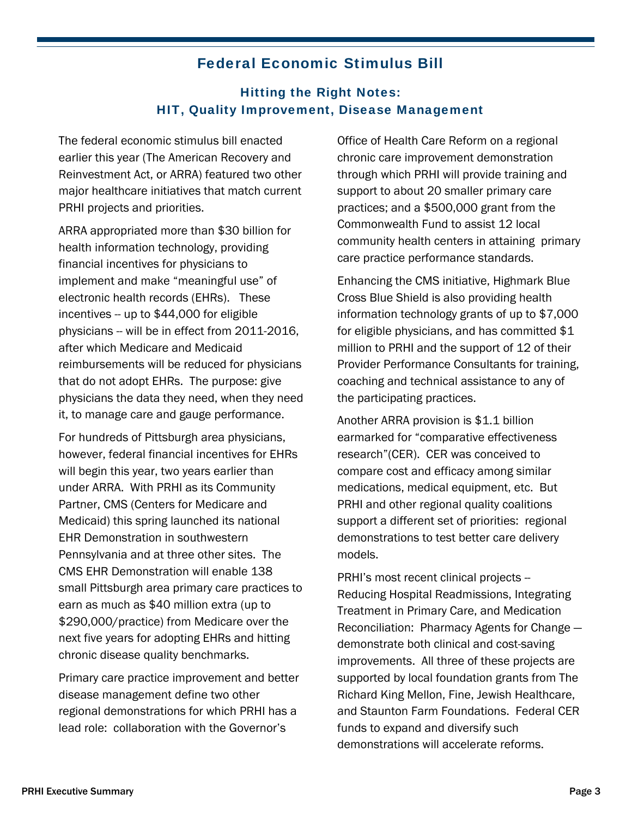# Federal Economic Stimulus Bill

# Hitting the Right Notes: HIT, Quality Improvement, Disease Management

The federal economic stimulus bill enacted earlier this year (The American Recovery and Reinvestment Act, or ARRA) featured two other major healthcare initiatives that match current PRHI projects and priorities.

ARRA appropriated more than \$30 billion for health information technology, providing financial incentives for physicians to implement and make "meaningful use" of electronic health records (EHRs). These incentives -- up to \$44,000 for eligible physicians -- will be in effect from 2011-2016, after which Medicare and Medicaid reimbursements will be reduced for physicians that do not adopt EHRs. The purpose: give physicians the data they need, when they need it, to manage care and gauge performance.

For hundreds of Pittsburgh area physicians, however, federal financial incentives for EHRs will begin this year, two years earlier than under ARRA. With PRHI as its Community Partner, CMS (Centers for Medicare and Medicaid) this spring launched its national EHR Demonstration in southwestern Pennsylvania and at three other sites. The CMS EHR Demonstration will enable 138 small Pittsburgh area primary care practices to earn as much as \$40 million extra (up to \$290,000/practice) from Medicare over the next five years for adopting EHRs and hitting chronic disease quality benchmarks.

Primary care practice improvement and better disease management define two other regional demonstrations for which PRHI has a lead role: collaboration with the Governor's

Office of Health Care Reform on a regional chronic care improvement demonstration through which PRHI will provide training and support to about 20 smaller primary care practices; and a \$500,000 grant from the Commonwealth Fund to assist 12 local community health centers in attaining primary care practice performance standards.

Enhancing the CMS initiative, Highmark Blue Cross Blue Shield is also providing health information technology grants of up to \$7,000 for eligible physicians, and has committed \$1 million to PRHI and the support of 12 of their Provider Performance Consultants for training, coaching and technical assistance to any of the participating practices.

Another ARRA provision is \$1.1 billion earmarked for "comparative effectiveness research"(CER). CER was conceived to compare cost and efficacy among similar medications, medical equipment, etc. But PRHI and other regional quality coalitions support a different set of priorities: regional demonstrations to test better care delivery models.

PRHI's most recent clinical projects -- Reducing Hospital Readmissions, Integrating Treatment in Primary Care, and Medication Reconciliation: Pharmacy Agents for Change demonstrate both clinical and cost-saving improvements. All three of these projects are supported by local foundation grants from The Richard King Mellon, Fine, Jewish Healthcare, and Staunton Farm Foundations. Federal CER funds to expand and diversify such demonstrations will accelerate reforms.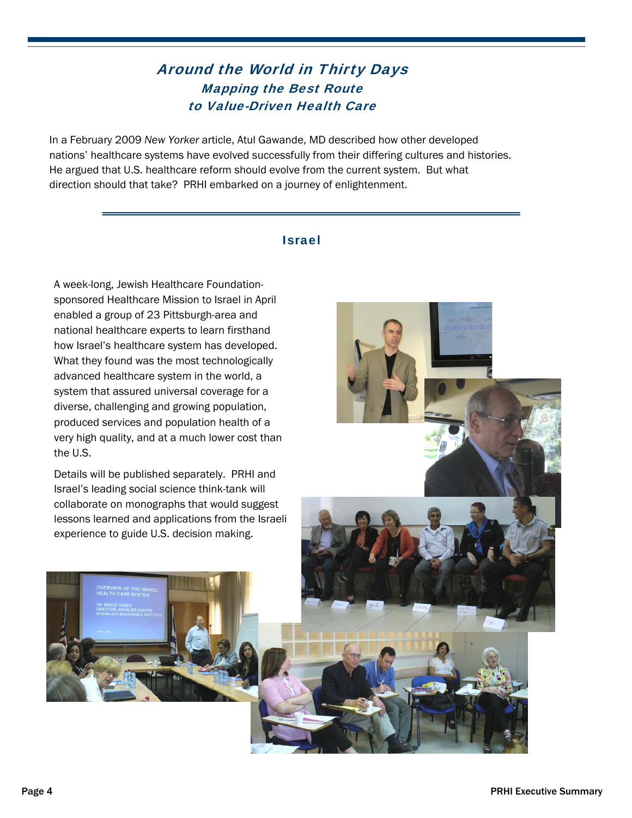# Around the World in Thirty Days Mapping the Best Route to Value-Driven Health Care

In a February 2009 *New Yorker* article, Atul Gawande, MD described how other developed nations' healthcare systems have evolved successfully from their differing cultures and histories. He argued that U.S. healthcare reform should evolve from the current system. But what direction should that take? PRHI embarked on a journey of enlightenment.

### Israel

A week-long, Jewish Healthcare Foundationsponsored Healthcare Mission to Israel in April enabled a group of 23 Pittsburgh-area and national healthcare experts to learn firsthand how Israel's healthcare system has developed. What they found was the most technologically advanced healthcare system in the world, a system that assured universal coverage for a diverse, challenging and growing population, produced services and population health of a very high quality, and at a much lower cost than the U.S.

Details will be published separately. PRHI and Israel's leading social science think-tank will collaborate on monographs that would suggest lessons learned and applications from the Israeli experience to guide U.S. decision making.



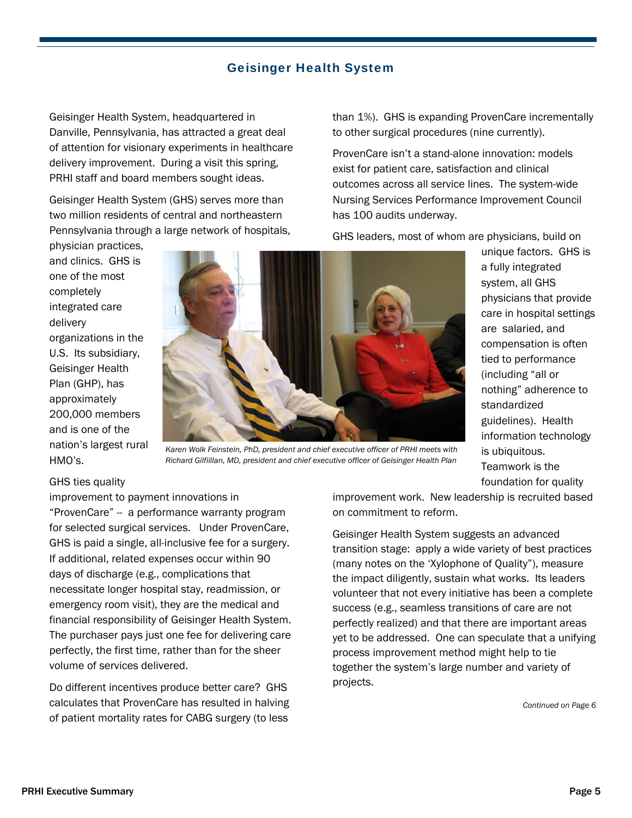### Geisinger Health System

Geisinger Health System, headquartered in Danville, Pennsylvania, has attracted a great deal of attention for visionary experiments in healthcare delivery improvement. During a visit this spring, PRHI staff and board members sought ideas.

Geisinger Health System (GHS) serves more than two million residents of central and northeastern Pennsylvania through a large network of hospitals,

physician practices, and clinics. GHS is one of the most completely integrated care delivery organizations in the U.S. Its subsidiary, Geisinger Health Plan (GHP), has approximately 200,000 members and is one of the nation's largest rural HMO's.



*Karen Wolk Feinstein, PhD, president and chief executive officer of PRHI meets with Richard Gilfiillan, MD, president and chief executive officer of Geisinger Health Plan* 

#### GHS ties quality

improvement to payment innovations in "ProvenCare" -- a performance warranty program for selected surgical services. Under ProvenCare, GHS is paid a single, all-inclusive fee for a surgery. If additional, related expenses occur within 90 days of discharge (e.g., complications that necessitate longer hospital stay, readmission, or emergency room visit), they are the medical and financial responsibility of Geisinger Health System. The purchaser pays just one fee for delivering care perfectly, the first time, rather than for the sheer volume of services delivered.

Do different incentives produce better care? GHS calculates that ProvenCare has resulted in halving of patient mortality rates for CABG surgery (to less

than 1%). GHS is expanding ProvenCare incrementally to other surgical procedures (nine currently).

ProvenCare isn't a stand-alone innovation: models exist for patient care, satisfaction and clinical outcomes across all service lines. The system-wide Nursing Services Performance Improvement Council has 100 audits underway.

GHS leaders, most of whom are physicians, build on

unique factors. GHS is a fully integrated system, all GHS physicians that provide care in hospital settings are salaried, and compensation is often tied to performance (including "all or nothing" adherence to standardized guidelines). Health information technology is ubiquitous. Teamwork is the foundation for quality

improvement work. New leadership is recruited based on commitment to reform.

Geisinger Health System suggests an advanced transition stage: apply a wide variety of best practices (many notes on the 'Xylophone of Quality"), measure the impact diligently, sustain what works. Its leaders volunteer that not every initiative has been a complete success (e.g., seamless transitions of care are not perfectly realized) and that there are important areas yet to be addressed. One can speculate that a unifying process improvement method might help to tie together the system's large number and variety of projects.

*Continued on Page 6*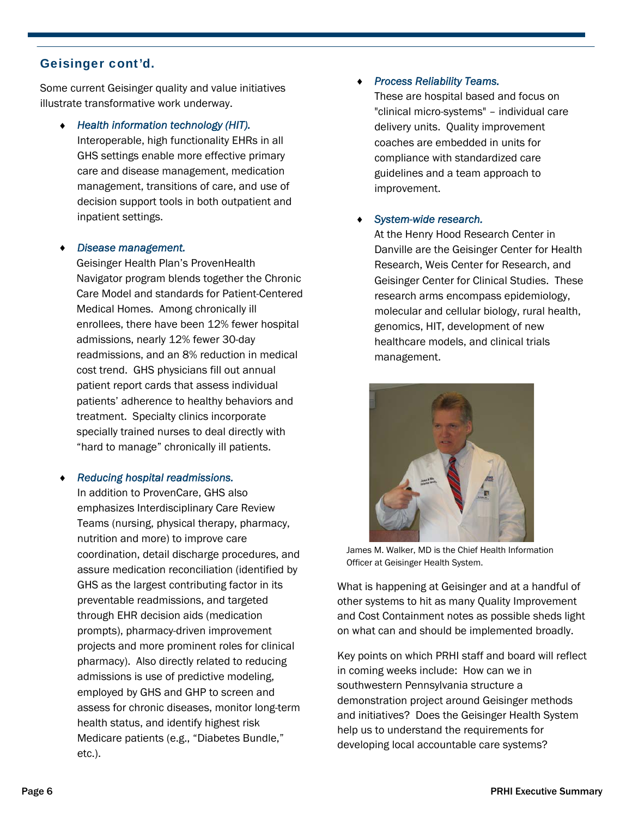### Geisinger cont'd.

Some current Geisinger quality and value initiatives illustrate transformative work underway.

 *Health information technology (HIT).*  Interoperable, high functionality EHRs in all GHS settings enable more effective primary care and disease management, medication management, transitions of care, and use of decision support tools in both outpatient and inpatient settings.

#### *Disease management.*

Geisinger Health Plan's ProvenHealth Navigator program blends together the Chronic Care Model and standards for Patient-Centered Medical Homes. Among chronically ill enrollees, there have been 12% fewer hospital admissions, nearly 12% fewer 30-day readmissions, and an 8% reduction in medical cost trend. GHS physicians fill out annual patient report cards that assess individual patients' adherence to healthy behaviors and treatment. Specialty clinics incorporate specially trained nurses to deal directly with "hard to manage" chronically ill patients.

#### *Reducing hospital readmissions.*

In addition to ProvenCare, GHS also emphasizes Interdisciplinary Care Review Teams (nursing, physical therapy, pharmacy, nutrition and more) to improve care coordination, detail discharge procedures, and assure medication reconciliation (identified by GHS as the largest contributing factor in its preventable readmissions, and targeted through EHR decision aids (medication prompts), pharmacy-driven improvement projects and more prominent roles for clinical pharmacy). Also directly related to reducing admissions is use of predictive modeling, employed by GHS and GHP to screen and assess for chronic diseases, monitor long-term health status, and identify highest risk Medicare patients (e.g., "Diabetes Bundle," etc.).

#### *Process Reliability Teams.*

These are hospital based and focus on "clinical micro-systems" – individual care delivery units. Quality improvement coaches are embedded in units for compliance with standardized care guidelines and a team approach to improvement.

#### *System-wide research.*

At the Henry Hood Research Center in Danville are the Geisinger Center for Health Research, Weis Center for Research, and Geisinger Center for Clinical Studies. These research arms encompass epidemiology, molecular and cellular biology, rural health, genomics, HIT, development of new healthcare models, and clinical trials management.



James M. Walker, MD is the Chief Health Information Officer at Geisinger Health System.

What is happening at Geisinger and at a handful of other systems to hit as many Quality Improvement and Cost Containment notes as possible sheds light on what can and should be implemented broadly.

Key points on which PRHI staff and board will reflect in coming weeks include: How can we in southwestern Pennsylvania structure a demonstration project around Geisinger methods and initiatives? Does the Geisinger Health System help us to understand the requirements for developing local accountable care systems?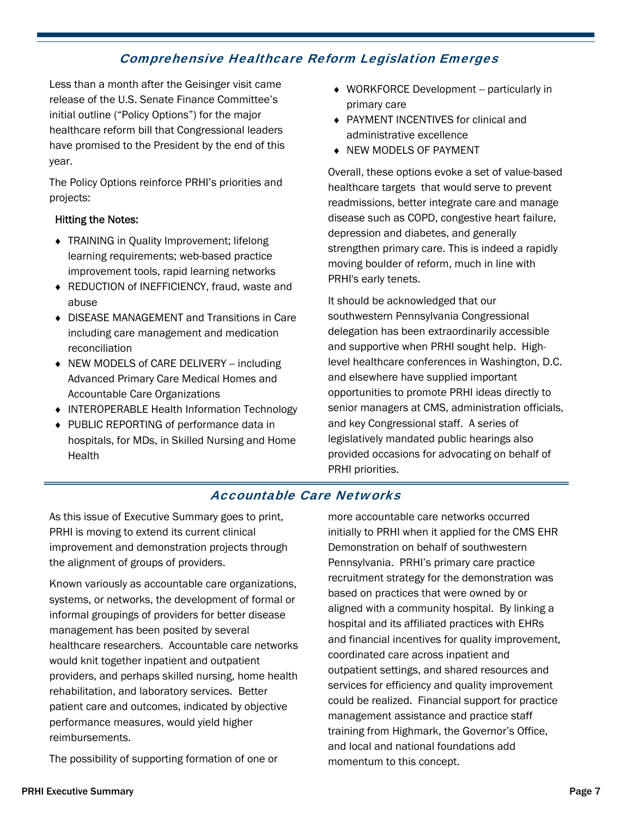# Comprehensive Healthcare Reform Legislation Emerges

Less than a month after the Geisinger visit came release of the U.S. Senate Finance Committee's initial outline ("Policy Options") for the major healthcare reform bill that Congressional leaders have promised to the President by the end of this year.

The Policy Options reinforce PRHI's priorities and projects:

#### Hitting the Notes:

- ◆ TRAINING in Quality Improvement; lifelong learning requirements; web-based practice improvement tools, rapid learning networks
- ◆ REDUCTION of INEFFICIENCY, fraud, waste and abuse
- DISEASE MANAGEMENT and Transitions in Care including care management and medication reconciliation
- ◆ NEW MODELS of CARE DELIVERY -- including Advanced Primary Care Medical Homes and Accountable Care Organizations
- INTEROPERABLE Health Information Technology
- ◆ PUBLIC REPORTING of performance data in hospitals, for MDs, in Skilled Nursing and Home **Health**
- $\triangleleft$  WORKFORCE Development -- particularly in primary care
- PAYMENT INCENTIVES for clinical and administrative excellence
- NEW MODELS OF PAYMENT

Overall, these options evoke a set of value-based healthcare targets that would serve to prevent readmissions, better integrate care and manage disease such as COPD, congestive heart failure, depression and diabetes, and generally strengthen primary care. This is indeed a rapidly moving boulder of reform, much in line with PRHI's early tenets.

It should be acknowledged that our southwestern Pennsylvania Congressional delegation has been extraordinarily accessible and supportive when PRHI sought help. Highlevel healthcare conferences in Washington, D.C. and elsewhere have supplied important opportunities to promote PRHI ideas directly to senior managers at CMS, administration officials, and key Congressional staff. A series of legislatively mandated public hearings also provided occasions for advocating on behalf of PRHI priorities.

### Accountable Care Networks

As this issue of Executive Summary goes to print, PRHI is moving to extend its current clinical improvement and demonstration projects through the alignment of groups of providers.

Known variously as accountable care organizations, systems, or networks, the development of formal or informal groupings of providers for better disease management has been posited by several healthcare researchers. Accountable care networks would knit together inpatient and outpatient providers, and perhaps skilled nursing, home health rehabilitation, and laboratory services. Better patient care and outcomes, indicated by objective performance measures, would yield higher reimbursements.

The possibility of supporting formation of one or

more accountable care networks occurred initially to PRHI when it applied for the CMS EHR Demonstration on behalf of southwestern Pennsylvania. PRHI's primary care practice recruitment strategy for the demonstration was based on practices that were owned by or aligned with a community hospital. By linking a hospital and its affiliated practices with EHRs and financial incentives for quality improvement, coordinated care across inpatient and outpatient settings, and shared resources and services for efficiency and quality improvement could be realized. Financial support for practice management assistance and practice staff training from Highmark, the Governor's Office, and local and national foundations add momentum to this concept.